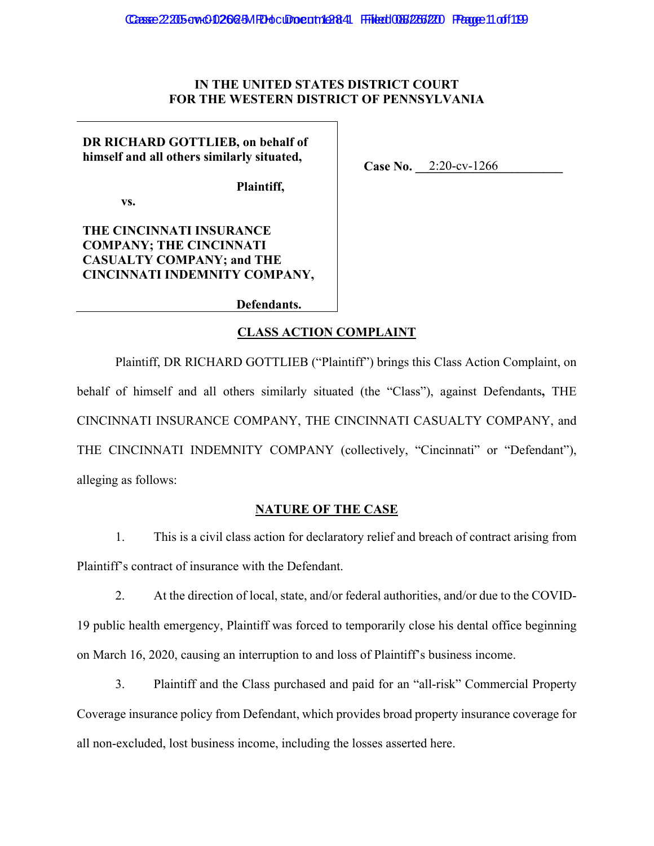## **IN THE UNITED STATES DISTRICT COURT FOR THE WESTERN DISTRICT OF PENNSYLVANIA**

Case No. 2:20-cv-1266

**DR RICHARD GOTTLIEB, on behalf of himself and all others similarly situated,** 

**Plaintiff,** 

 **vs.** 

**THE CINCINNATI INSURANCE COMPANY; THE CINCINNATI CASUALTY COMPANY; and THE CINCINNATI INDEMNITY COMPANY,** 

**Defendants.**

# **CLASS ACTION COMPLAINT**

Plaintiff, DR RICHARD GOTTLIEB ("Plaintiff") brings this Class Action Complaint, on behalf of himself and all others similarly situated (the "Class"), against Defendants**,** THE CINCINNATI INSURANCE COMPANY, THE CINCINNATI CASUALTY COMPANY, and THE CINCINNATI INDEMNITY COMPANY (collectively, "Cincinnati" or "Defendant"), alleging as follows:

## **NATURE OF THE CASE**

1. This is a civil class action for declaratory relief and breach of contract arising from Plaintiff's contract of insurance with the Defendant.

2. At the direction of local, state, and/or federal authorities, and/or due to the COVID-19 public health emergency, Plaintiff was forced to temporarily close his dental office beginning on March 16, 2020, causing an interruption to and loss of Plaintiff's business income.

3. Plaintiff and the Class purchased and paid for an "all-risk" Commercial Property Coverage insurance policy from Defendant, which provides broad property insurance coverage for all non-excluded, lost business income, including the losses asserted here.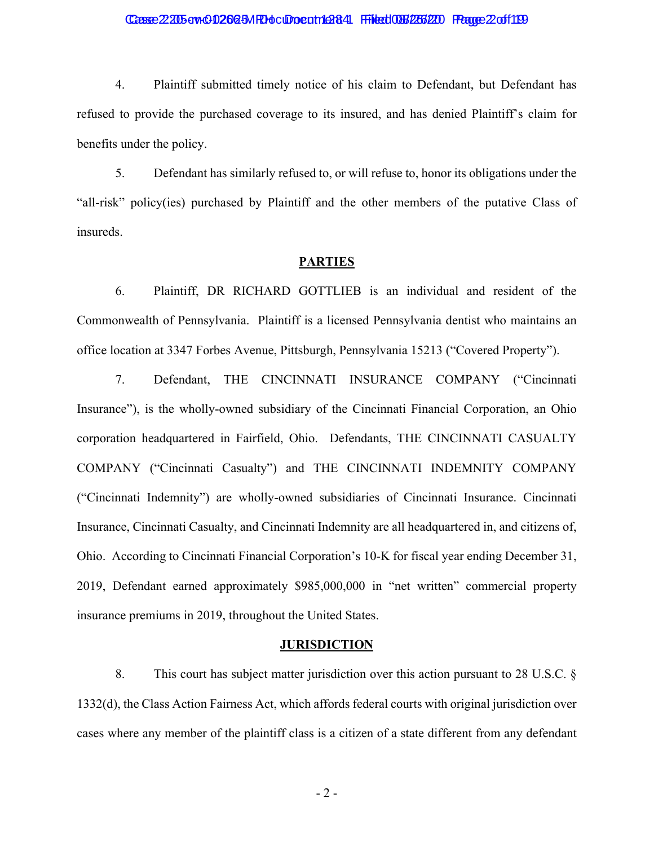# Casse 22:205-cw-00266-5MRH ocument 1284 Filed 086/266/200 Frage 2 of 1199

4. Plaintiff submitted timely notice of his claim to Defendant, but Defendant has refused to provide the purchased coverage to its insured, and has denied Plaintiff's claim for benefits under the policy.

5. Defendant has similarly refused to, or will refuse to, honor its obligations under the "all-risk" policy(ies) purchased by Plaintiff and the other members of the putative Class of insureds.

#### **PARTIES**

6. Plaintiff, DR RICHARD GOTTLIEB is an individual and resident of the Commonwealth of Pennsylvania. Plaintiff is a licensed Pennsylvania dentist who maintains an office location at 3347 Forbes Avenue, Pittsburgh, Pennsylvania 15213 ("Covered Property").

7. Defendant, THE CINCINNATI INSURANCE COMPANY ("Cincinnati Insurance"), is the wholly-owned subsidiary of the Cincinnati Financial Corporation, an Ohio corporation headquartered in Fairfield, Ohio. Defendants, THE CINCINNATI CASUALTY COMPANY ("Cincinnati Casualty") and THE CINCINNATI INDEMNITY COMPANY ("Cincinnati Indemnity") are wholly-owned subsidiaries of Cincinnati Insurance. Cincinnati Insurance, Cincinnati Casualty, and Cincinnati Indemnity are all headquartered in, and citizens of, Ohio. According to Cincinnati Financial Corporation's 10-K for fiscal year ending December 31, 2019, Defendant earned approximately \$985,000,000 in "net written" commercial property insurance premiums in 2019, throughout the United States.

#### **JURISDICTION**

8. This court has subject matter jurisdiction over this action pursuant to 28 U.S.C. § 1332(d), the Class Action Fairness Act, which affords federal courts with original jurisdiction over cases where any member of the plaintiff class is a citizen of a state different from any defendant

- 2 -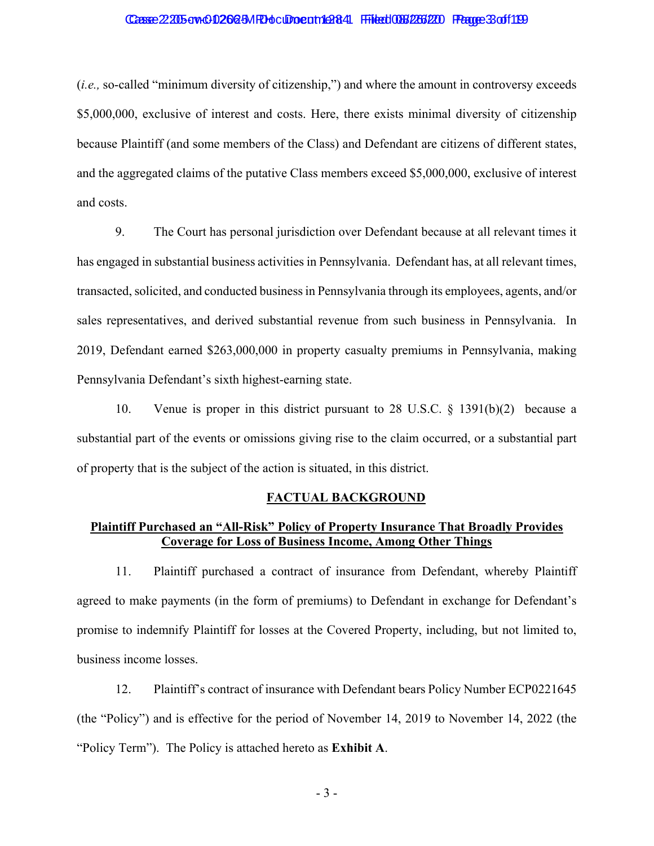# Casse 22:205-cv-0-0266-5MRH ocument 1 26:41 Filed 086/266/200 Frage 3 of 1199

(*i.e.,* so-called "minimum diversity of citizenship,") and where the amount in controversy exceeds \$5,000,000, exclusive of interest and costs. Here, there exists minimal diversity of citizenship because Plaintiff (and some members of the Class) and Defendant are citizens of different states, and the aggregated claims of the putative Class members exceed \$5,000,000, exclusive of interest and costs.

9. The Court has personal jurisdiction over Defendant because at all relevant times it has engaged in substantial business activities in Pennsylvania. Defendant has, at all relevant times, transacted, solicited, and conducted business in Pennsylvania through its employees, agents, and/or sales representatives, and derived substantial revenue from such business in Pennsylvania. In 2019, Defendant earned \$263,000,000 in property casualty premiums in Pennsylvania, making Pennsylvania Defendant's sixth highest-earning state.

10. Venue is proper in this district pursuant to 28 U.S.C. § 1391(b)(2) because a substantial part of the events or omissions giving rise to the claim occurred, or a substantial part of property that is the subject of the action is situated, in this district.

### **FACTUAL BACKGROUND**

# **Plaintiff Purchased an "All-Risk" Policy of Property Insurance That Broadly Provides Coverage for Loss of Business Income, Among Other Things**

11. Plaintiff purchased a contract of insurance from Defendant, whereby Plaintiff agreed to make payments (in the form of premiums) to Defendant in exchange for Defendant's promise to indemnify Plaintiff for losses at the Covered Property, including, but not limited to, business income losses.

12. Plaintiff's contract of insurance with Defendant bears Policy Number ECP0221645 (the "Policy") and is effective for the period of November 14, 2019 to November 14, 2022 (the "Policy Term"). The Policy is attached hereto as **Exhibit A**.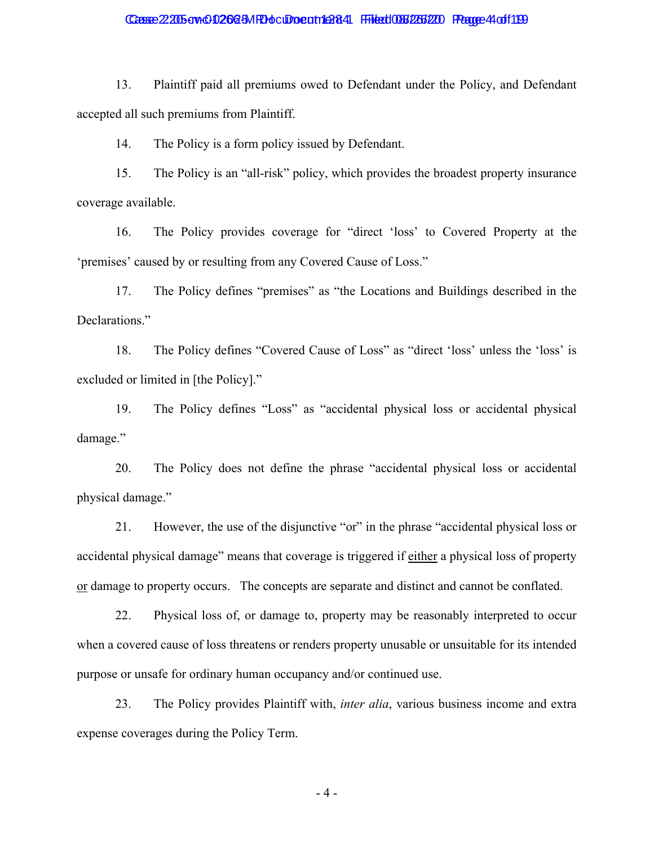### Casse 22:205-cv-0-0266-5MRH ocument 1:28:44 Filed 086/2266/200 Fragge 4 of 1199

13. Plaintiff paid all premiums owed to Defendant under the Policy, and Defendant accepted all such premiums from Plaintiff.

14. The Policy is a form policy issued by Defendant.

15. The Policy is an "all-risk" policy, which provides the broadest property insurance coverage available.

16. The Policy provides coverage for "direct 'loss' to Covered Property at the 'premises' caused by or resulting from any Covered Cause of Loss."

17. The Policy defines "premises" as "the Locations and Buildings described in the Declarations."

18. The Policy defines "Covered Cause of Loss" as "direct 'loss' unless the 'loss' is excluded or limited in [the Policy]."

19. The Policy defines "Loss" as "accidental physical loss or accidental physical damage."

20. The Policy does not define the phrase "accidental physical loss or accidental physical damage."

21. However, the use of the disjunctive "or" in the phrase "accidental physical loss or accidental physical damage" means that coverage is triggered if either a physical loss of property or damage to property occurs. The concepts are separate and distinct and cannot be conflated.

22. Physical loss of, or damage to, property may be reasonably interpreted to occur when a covered cause of loss threatens or renders property unusable or unsuitable for its intended purpose or unsafe for ordinary human occupancy and/or continued use.

23. The Policy provides Plaintiff with, *inter alia*, various business income and extra expense coverages during the Policy Term.

- 4 -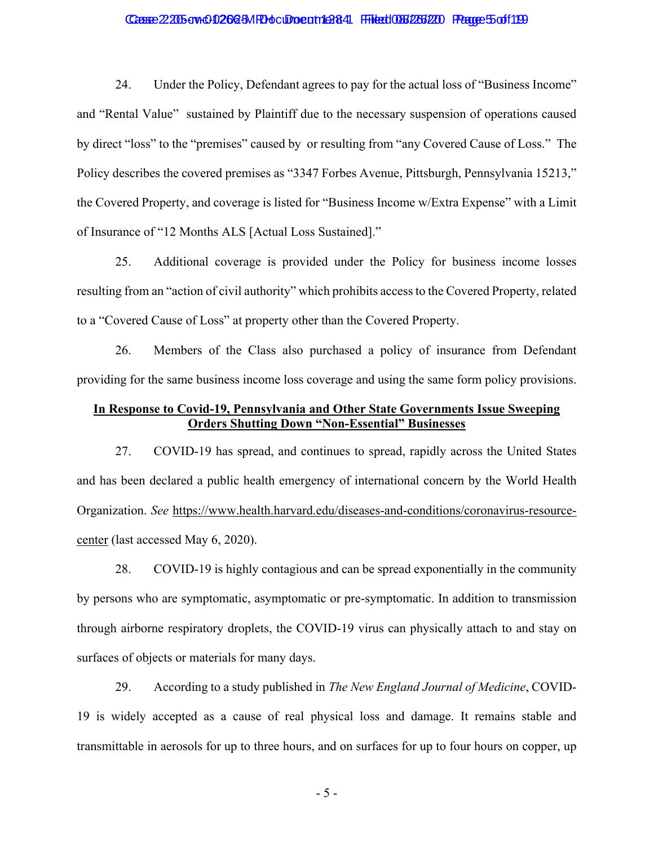### Casse 22:205-cv-0-0266-5MRH ocument 1:284 Filed 086/266/200 Frage 5 of 1199

24. Under the Policy, Defendant agrees to pay for the actual loss of "Business Income" and "Rental Value" sustained by Plaintiff due to the necessary suspension of operations caused by direct "loss" to the "premises" caused by or resulting from "any Covered Cause of Loss." The Policy describes the covered premises as "3347 Forbes Avenue, Pittsburgh, Pennsylvania 15213," the Covered Property, and coverage is listed for "Business Income w/Extra Expense" with a Limit of Insurance of "12 Months ALS [Actual Loss Sustained]."

25. Additional coverage is provided under the Policy for business income losses resulting from an "action of civil authority" which prohibits access to the Covered Property, related to a "Covered Cause of Loss" at property other than the Covered Property.

26. Members of the Class also purchased a policy of insurance from Defendant providing for the same business income loss coverage and using the same form policy provisions.

# **In Response to Covid-19, Pennsylvania and Other State Governments Issue Sweeping Orders Shutting Down "Non-Essential" Businesses**

27. COVID-19 has spread, and continues to spread, rapidly across the United States and has been declared a public health emergency of international concern by the World Health Organization. *See* https://www.health.harvard.edu/diseases-and-conditions/coronavirus-resourcecenter (last accessed May 6, 2020).

28. COVID-19 is highly contagious and can be spread exponentially in the community by persons who are symptomatic, asymptomatic or pre-symptomatic. In addition to transmission through airborne respiratory droplets, the COVID-19 virus can physically attach to and stay on surfaces of objects or materials for many days.

29. According to a study published in *The New England Journal of Medicine*, COVID-19 is widely accepted as a cause of real physical loss and damage. It remains stable and transmittable in aerosols for up to three hours, and on surfaces for up to four hours on copper, up

- 5 -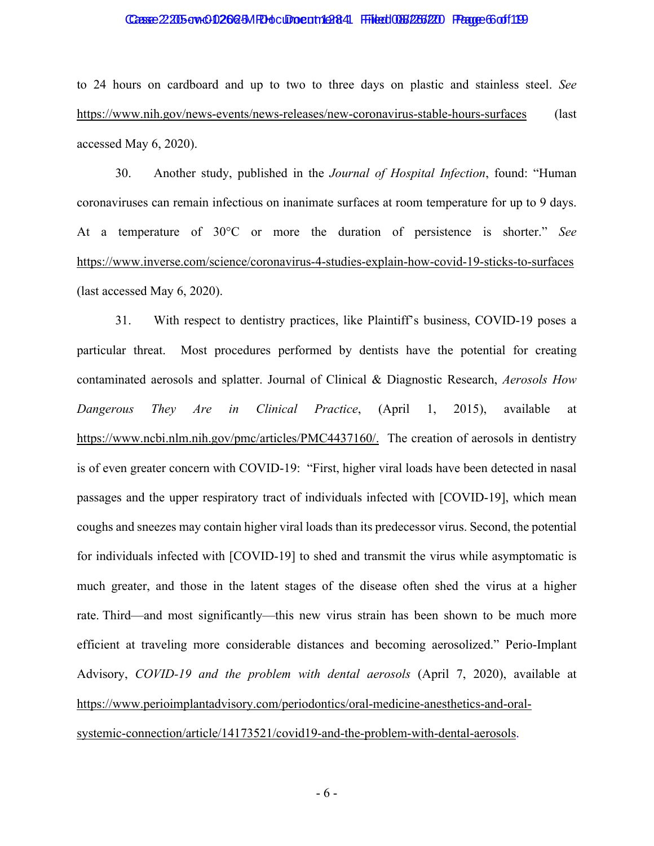### Casse 2:205-cv-0-02664-MRH ocupo ent 1 ext 4:06 Filed 086/266/200 Page 66 of 1199

to 24 hours on cardboard and up to two to three days on plastic and stainless steel. *See*  https://www.nih.gov/news-events/news-releases/new-coronavirus-stable-hours-surfaces (last accessed May 6, 2020).

30. Another study, published in the *Journal of Hospital Infection*, found: "Human coronaviruses can remain infectious on inanimate surfaces at room temperature for up to 9 days. At a temperature of 30°C or more the duration of persistence is shorter." *See*  https://www.inverse.com/science/coronavirus-4-studies-explain-how-covid-19-sticks-to-surfaces (last accessed May 6, 2020).

31. With respect to dentistry practices, like Plaintiff's business, COVID-19 poses a particular threat. Most procedures performed by dentists have the potential for creating contaminated aerosols and splatter. Journal of Clinical & Diagnostic Research, *Aerosols How Dangerous They Are in Clinical Practice*, (April 1, 2015), available at https://www.ncbi.nlm.nih.gov/pmc/articles/PMC4437160/. The creation of aerosols in dentistry is of even greater concern with COVID-19: "First, higher viral loads have been detected in nasal passages and the upper respiratory tract of individuals infected with [COVID-19], which mean coughs and sneezes may contain higher viral loads than its predecessor virus. Second, the potential for individuals infected with [COVID-19] to shed and transmit the virus while asymptomatic is much greater, and those in the latent stages of the disease often shed the virus at a higher rate. Third—and most significantly—this new virus strain has been shown to be much more efficient at traveling more considerable distances and becoming aerosolized." Perio-Implant Advisory, *COVID-19 and the problem with dental aerosols* (April 7, 2020), available at https://www.perioimplantadvisory.com/periodontics/oral-medicine-anesthetics-and-oralsystemic-connection/article/14173521/covid19-and-the-problem-with-dental-aerosols.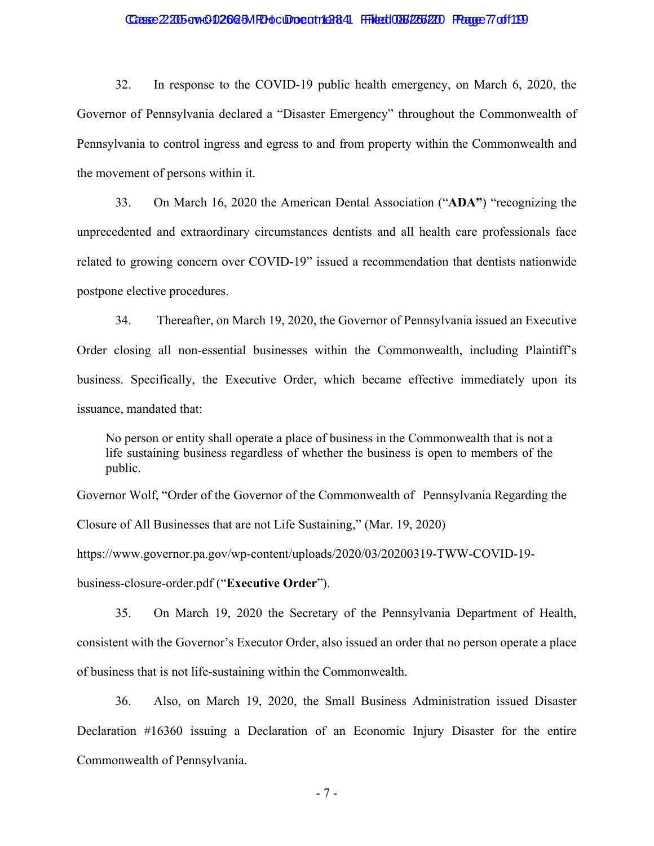# Casse 22:205-cw-00266-5MRH ocument 1:284 Filed 086/266/200 Frage 77 of 1199

32. In response to the COVID-19 public health emergency, on March 6, 2020, the Governor of Pennsylvania declared a "Disaster Emergency" throughout the Commonwealth of Pennsylvania to control ingress and egress to and from property within the Commonwealth and the movement of persons within it.

33. On March 16, 2020 the American Dental Association ("**ADA"**) "recognizing the unprecedented and extraordinary circumstances dentists and all health care professionals face related to growing concern over COVID-19" issued a recommendation that dentists nationwide postpone elective procedures.

34. Thereafter, on March 19, 2020, the Governor of Pennsylvania issued an Executive Order closing all non-essential businesses within the Commonwealth, including Plaintiff's business. Specifically, the Executive Order, which became effective immediately upon its issuance, mandated that:

No person or entity shall operate a place of business in the Commonwealth that is not a life sustaining business regardless of whether the business is open to members of the public.

Governor Wolf, "Order of the Governor of the Commonwealth of Pennsylvania Regarding the Closure of All Businesses that are not Life Sustaining," (Mar. 19, 2020)

https://www.governor.pa.gov/wp-content/uploads/2020/03/20200319-TWW-COVID-19 business-closure-order.pdf ("**Executive Order**").

35. On March 19, 2020 the Secretary of the Pennsylvania Department of Health, consistent with the Governor's Executor Order, also issued an order that no person operate a place of business that is not life-sustaining within the Commonwealth.

36. Also, on March 19, 2020, the Small Business Administration issued Disaster Declaration #16360 issuing a Declaration of an Economic Injury Disaster for the entire Commonwealth of Pennsylvania.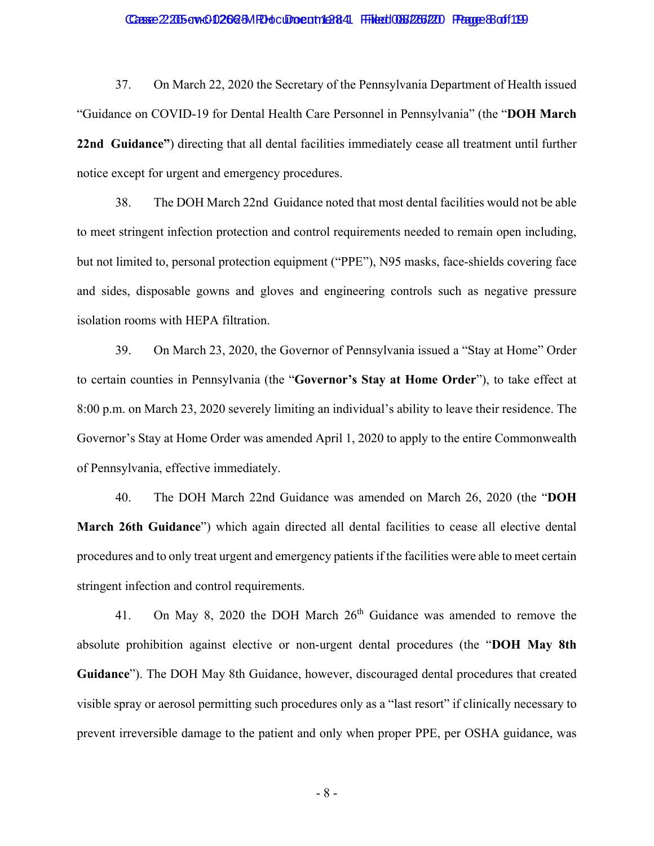#### Casse 2:205-cv-0-02664-MRH ocupo ent 1264 Filed 086/266/200 Frage 8 of 1199

37. On March 22, 2020 the Secretary of the Pennsylvania Department of Health issued "Guidance on COVID-19 for Dental Health Care Personnel in Pennsylvania" (the "**DOH March 22nd Guidance"**) directing that all dental facilities immediately cease all treatment until further notice except for urgent and emergency procedures.

38. The DOH March 22nd Guidance noted that most dental facilities would not be able to meet stringent infection protection and control requirements needed to remain open including, but not limited to, personal protection equipment ("PPE"), N95 masks, face-shields covering face and sides, disposable gowns and gloves and engineering controls such as negative pressure isolation rooms with HEPA filtration.

39. On March 23, 2020, the Governor of Pennsylvania issued a "Stay at Home" Order to certain counties in Pennsylvania (the "**Governor's Stay at Home Order**"), to take effect at 8:00 p.m. on March 23, 2020 severely limiting an individual's ability to leave their residence. The Governor's Stay at Home Order was amended April 1, 2020 to apply to the entire Commonwealth of Pennsylvania, effective immediately.

40. The DOH March 22nd Guidance was amended on March 26, 2020 (the "**DOH March 26th Guidance**") which again directed all dental facilities to cease all elective dental procedures and to only treat urgent and emergency patients if the facilities were able to meet certain stringent infection and control requirements.

41. On May 8, 2020 the DOH March 26<sup>th</sup> Guidance was amended to remove the absolute prohibition against elective or non-urgent dental procedures (the "**DOH May 8th Guidance**"). The DOH May 8th Guidance, however, discouraged dental procedures that created visible spray or aerosol permitting such procedures only as a "last resort" if clinically necessary to prevent irreversible damage to the patient and only when proper PPE, per OSHA guidance, was

- 8 -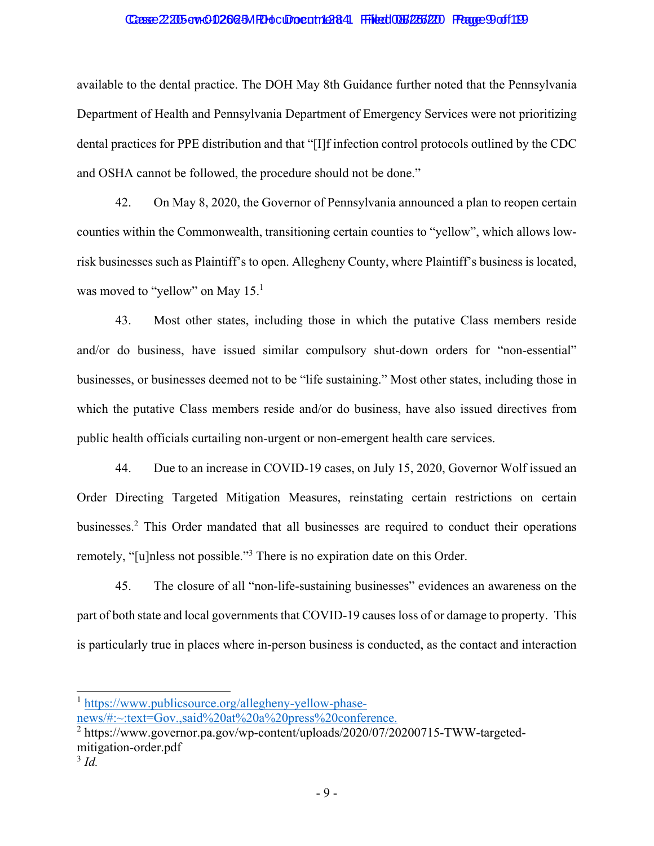### Casse 2:205-cv-0-02664-MRH ocupo ent 12644 Filed 086/266/200 Fagge 9 of 1199

available to the dental practice. The DOH May 8th Guidance further noted that the Pennsylvania Department of Health and Pennsylvania Department of Emergency Services were not prioritizing dental practices for PPE distribution and that "[I]f infection control protocols outlined by the CDC and OSHA cannot be followed, the procedure should not be done."

42. On May 8, 2020, the Governor of Pennsylvania announced a plan to reopen certain counties within the Commonwealth, transitioning certain counties to "yellow", which allows lowrisk businesses such as Plaintiff's to open. Allegheny County, where Plaintiff's business is located, was moved to "yellow" on May 15.<sup>1</sup>

43. Most other states, including those in which the putative Class members reside and/or do business, have issued similar compulsory shut-down orders for "non-essential" businesses, or businesses deemed not to be "life sustaining." Most other states, including those in which the putative Class members reside and/or do business, have also issued directives from public health officials curtailing non-urgent or non-emergent health care services.

44. Due to an increase in COVID-19 cases, on July 15, 2020, Governor Wolf issued an Order Directing Targeted Mitigation Measures, reinstating certain restrictions on certain businesses.<sup>2</sup> This Order mandated that all businesses are required to conduct their operations remotely, "[u]nless not possible."<sup>3</sup> There is no expiration date on this Order.

45. The closure of all "non-life-sustaining businesses" evidences an awareness on the part of both state and local governments that COVID-19 causes loss of or damage to property. This is particularly true in places where in-person business is conducted, as the contact and interaction

<sup>1</sup> https://www.publicsource.org/allegheny-yellow-phase-

news/#:~:text=Gov.,said%20at%20a%20press%20conference.

<sup>&</sup>lt;sup>2</sup> https://www.governor.pa.gov/wp-content/uploads/2020/07/20200715-TWW-targetedmitigation-order.pdf

<sup>3</sup> *Id.*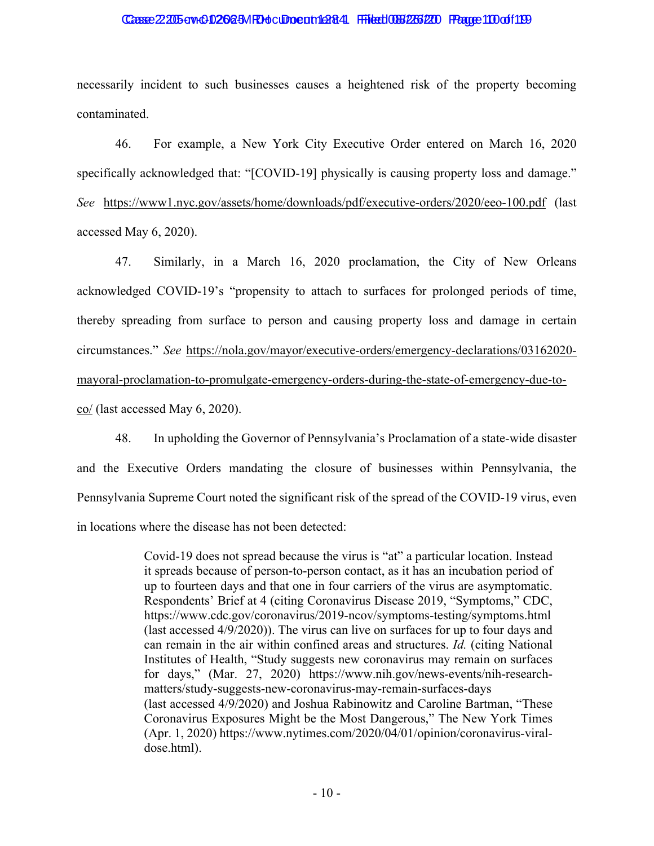#### Casse 2:205-ow-01262-5MRH ocument 1 AB4 Filed 086/266/20 Fragge 100 of 1199

necessarily incident to such businesses causes a heightened risk of the property becoming contaminated.

46. For example, a New York City Executive Order entered on March 16, 2020 specifically acknowledged that: "[COVID-19] physically is causing property loss and damage." *See* https://www1.nyc.gov/assets/home/downloads/pdf/executive-orders/2020/eeo-100.pdf (last accessed May 6, 2020).

47. Similarly, in a March 16, 2020 proclamation, the City of New Orleans acknowledged COVID-19's "propensity to attach to surfaces for prolonged periods of time, thereby spreading from surface to person and causing property loss and damage in certain circumstances." *See* https://nola.gov/mayor/executive-orders/emergency-declarations/03162020 mayoral-proclamation-to-promulgate-emergency-orders-during-the-state-of-emergency-due-toco/ (last accessed May 6, 2020).

48. In upholding the Governor of Pennsylvania's Proclamation of a state-wide disaster and the Executive Orders mandating the closure of businesses within Pennsylvania, the Pennsylvania Supreme Court noted the significant risk of the spread of the COVID-19 virus, even in locations where the disease has not been detected:

> Covid-19 does not spread because the virus is "at" a particular location. Instead it spreads because of person-to-person contact, as it has an incubation period of up to fourteen days and that one in four carriers of the virus are asymptomatic. Respondents' Brief at 4 (citing Coronavirus Disease 2019, "Symptoms," CDC, https://www.cdc.gov/coronavirus/2019-ncov/symptoms-testing/symptoms.html (last accessed 4/9/2020)). The virus can live on surfaces for up to four days and can remain in the air within confined areas and structures. *Id.* (citing National Institutes of Health, "Study suggests new coronavirus may remain on surfaces for days," (Mar. 27, 2020) https://www.nih.gov/news-events/nih-researchmatters/study-suggests-new-coronavirus-may-remain-surfaces-days (last accessed 4/9/2020) and Joshua Rabinowitz and Caroline Bartman, "These Coronavirus Exposures Might be the Most Dangerous," The New York Times (Apr. 1, 2020) https://www.nytimes.com/2020/04/01/opinion/coronavirus-viraldose.html).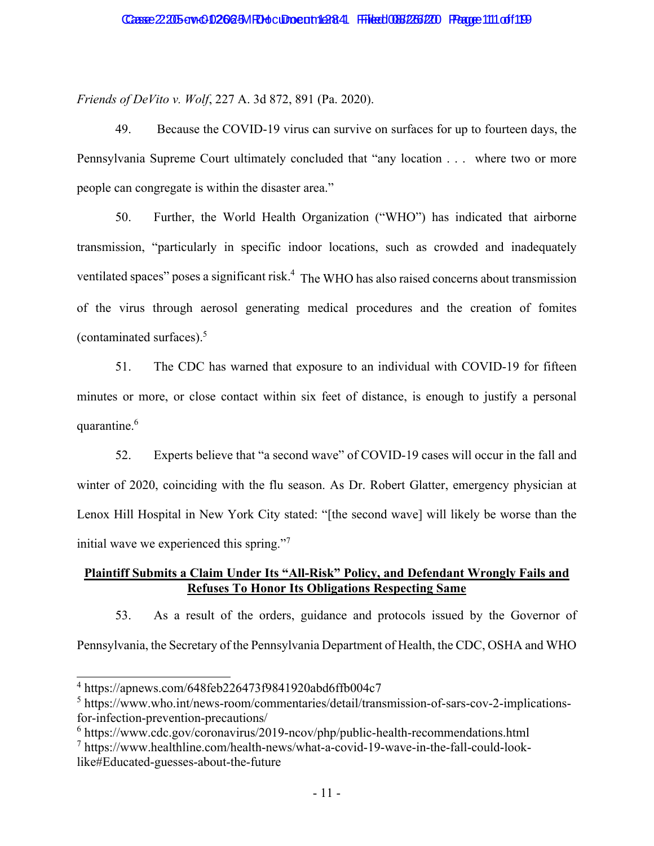*Friends of DeVito v. Wolf*, 227 A. 3d 872, 891 (Pa. 2020).

49. Because the COVID-19 virus can survive on surfaces for up to fourteen days, the Pennsylvania Supreme Court ultimately concluded that "any location . . . where two or more people can congregate is within the disaster area."

50. Further, the World Health Organization ("WHO") has indicated that airborne transmission, "particularly in specific indoor locations, such as crowded and inadequately ventilated spaces" poses a significant risk.<sup>4</sup> The WHO has also raised concerns about transmission of the virus through aerosol generating medical procedures and the creation of fomites (contaminated surfaces).5

51. The CDC has warned that exposure to an individual with COVID-19 for fifteen minutes or more, or close contact within six feet of distance, is enough to justify a personal quarantine.<sup>6</sup>

52. Experts believe that "a second wave" of COVID-19 cases will occur in the fall and winter of 2020, coinciding with the flu season. As Dr. Robert Glatter, emergency physician at Lenox Hill Hospital in New York City stated: "[the second wave] will likely be worse than the initial wave we experienced this spring."7

# **Plaintiff Submits a Claim Under Its "All-Risk" Policy, and Defendant Wrongly Fails and Refuses To Honor Its Obligations Respecting Same**

53. As a result of the orders, guidance and protocols issued by the Governor of Pennsylvania, the Secretary of the Pennsylvania Department of Health, the CDC, OSHA and WHO

<sup>4</sup> https://apnews.com/648feb226473f9841920abd6ffb004c7

<sup>&</sup>lt;sup>5</sup> https://www.who.int/news-room/commentaries/detail/transmission-of-sars-cov-2-implicationsfor-infection-prevention-precautions/

<sup>&</sup>lt;sup>6</sup> https://www.cdc.gov/coronavirus/2019-ncov/php/public-health-recommendations.html

<sup>7</sup> https://www.healthline.com/health-news/what-a-covid-19-wave-in-the-fall-could-looklike#Educated-guesses-about-the-future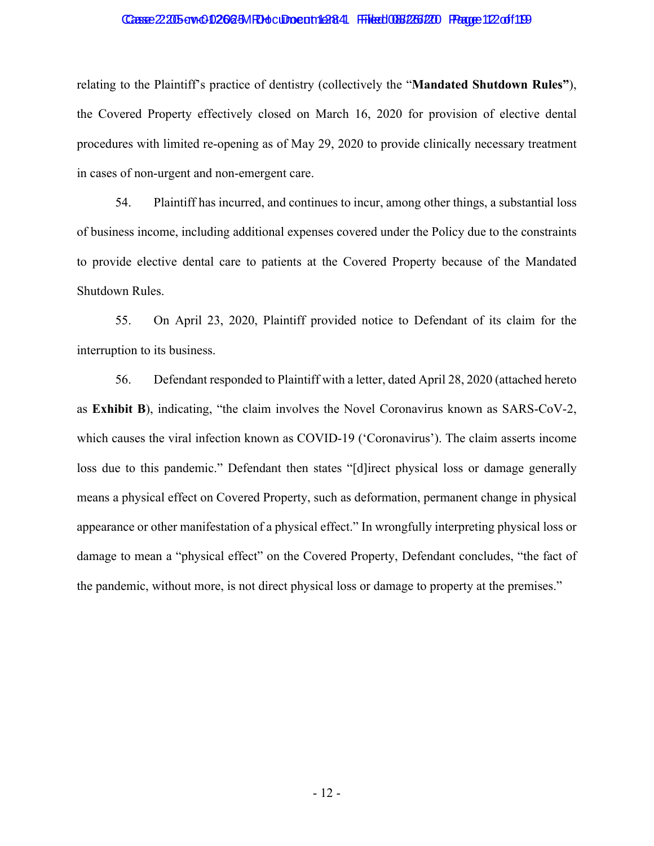### Casse 2205-cv+00266-3MRH ocupo ent 1284 Filed 086/266/20 Page 112 of 119

relating to the Plaintiff's practice of dentistry (collectively the "**Mandated Shutdown Rules"**), the Covered Property effectively closed on March 16, 2020 for provision of elective dental procedures with limited re-opening as of May 29, 2020 to provide clinically necessary treatment in cases of non-urgent and non-emergent care.

54. Plaintiff has incurred, and continues to incur, among other things, a substantial loss of business income, including additional expenses covered under the Policy due to the constraints to provide elective dental care to patients at the Covered Property because of the Mandated Shutdown Rules.

55. On April 23, 2020, Plaintiff provided notice to Defendant of its claim for the interruption to its business.

56. Defendant responded to Plaintiff with a letter, dated April 28, 2020 (attached hereto as **Exhibit B**), indicating, "the claim involves the Novel Coronavirus known as SARS-CoV-2, which causes the viral infection known as COVID-19 ('Coronavirus'). The claim asserts income loss due to this pandemic." Defendant then states "[d]irect physical loss or damage generally means a physical effect on Covered Property, such as deformation, permanent change in physical appearance or other manifestation of a physical effect." In wrongfully interpreting physical loss or damage to mean a "physical effect" on the Covered Property, Defendant concludes, "the fact of the pandemic, without more, is not direct physical loss or damage to property at the premises."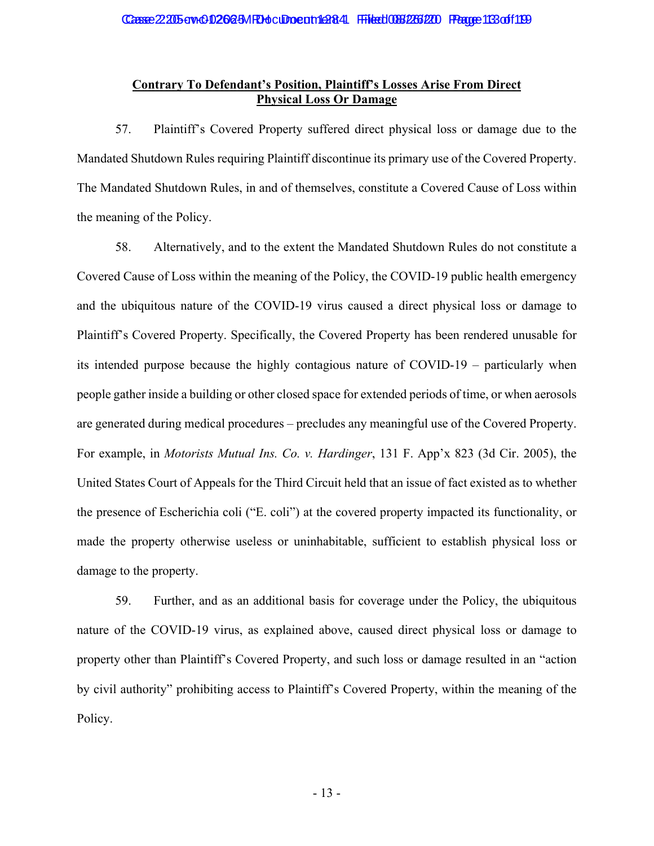# **Contrary To Defendant's Position, Plaintiff's Losses Arise From Direct Physical Loss Or Damage**

57. Plaintiff's Covered Property suffered direct physical loss or damage due to the Mandated Shutdown Rules requiring Plaintiff discontinue its primary use of the Covered Property. The Mandated Shutdown Rules, in and of themselves, constitute a Covered Cause of Loss within the meaning of the Policy.

58. Alternatively, and to the extent the Mandated Shutdown Rules do not constitute a Covered Cause of Loss within the meaning of the Policy, the COVID-19 public health emergency and the ubiquitous nature of the COVID-19 virus caused a direct physical loss or damage to Plaintiff's Covered Property. Specifically, the Covered Property has been rendered unusable for its intended purpose because the highly contagious nature of COVID-19 – particularly when people gather inside a building or other closed space for extended periods of time, or when aerosols are generated during medical procedures – precludes any meaningful use of the Covered Property. For example, in *Motorists Mutual Ins. Co. v. Hardinger*, 131 F. App'x 823 (3d Cir. 2005), the United States Court of Appeals for the Third Circuit held that an issue of fact existed as to whether the presence of Escherichia coli ("E. coli") at the covered property impacted its functionality, or made the property otherwise useless or uninhabitable, sufficient to establish physical loss or damage to the property.

59. Further, and as an additional basis for coverage under the Policy, the ubiquitous nature of the COVID-19 virus, as explained above, caused direct physical loss or damage to property other than Plaintiff's Covered Property, and such loss or damage resulted in an "action by civil authority" prohibiting access to Plaintiff's Covered Property, within the meaning of the Policy.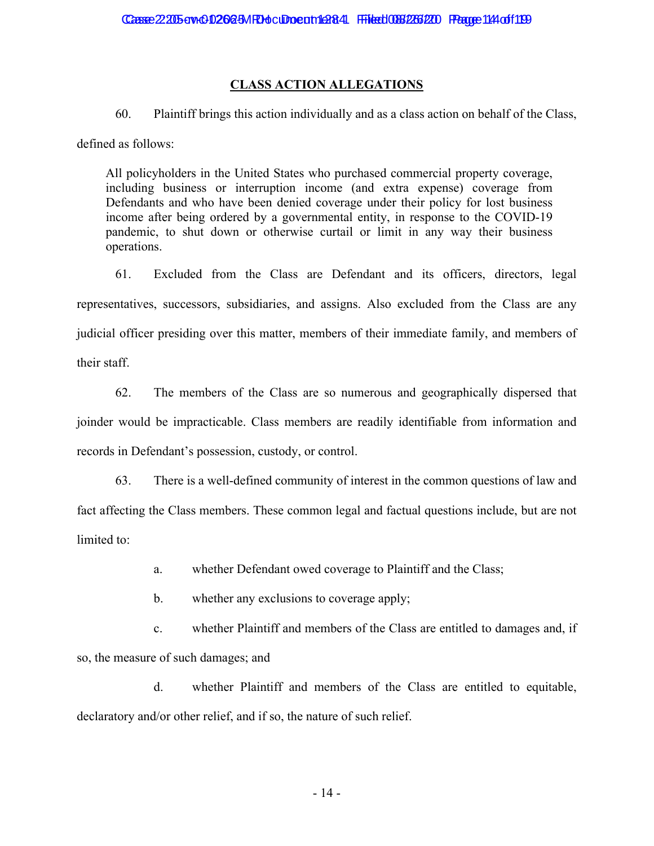# **CLASS ACTION ALLEGATIONS**

60. Plaintiff brings this action individually and as a class action on behalf of the Class,

defined as follows:

All policyholders in the United States who purchased commercial property coverage, including business or interruption income (and extra expense) coverage from Defendants and who have been denied coverage under their policy for lost business income after being ordered by a governmental entity, in response to the COVID-19 pandemic, to shut down or otherwise curtail or limit in any way their business operations.

61. Excluded from the Class are Defendant and its officers, directors, legal representatives, successors, subsidiaries, and assigns. Also excluded from the Class are any judicial officer presiding over this matter, members of their immediate family, and members of their staff.

62. The members of the Class are so numerous and geographically dispersed that joinder would be impracticable. Class members are readily identifiable from information and records in Defendant's possession, custody, or control.

63. There is a well-defined community of interest in the common questions of law and fact affecting the Class members. These common legal and factual questions include, but are not limited to:

a. whether Defendant owed coverage to Plaintiff and the Class;

b. whether any exclusions to coverage apply;

c. whether Plaintiff and members of the Class are entitled to damages and, if so, the measure of such damages; and

d. whether Plaintiff and members of the Class are entitled to equitable, declaratory and/or other relief, and if so, the nature of such relief.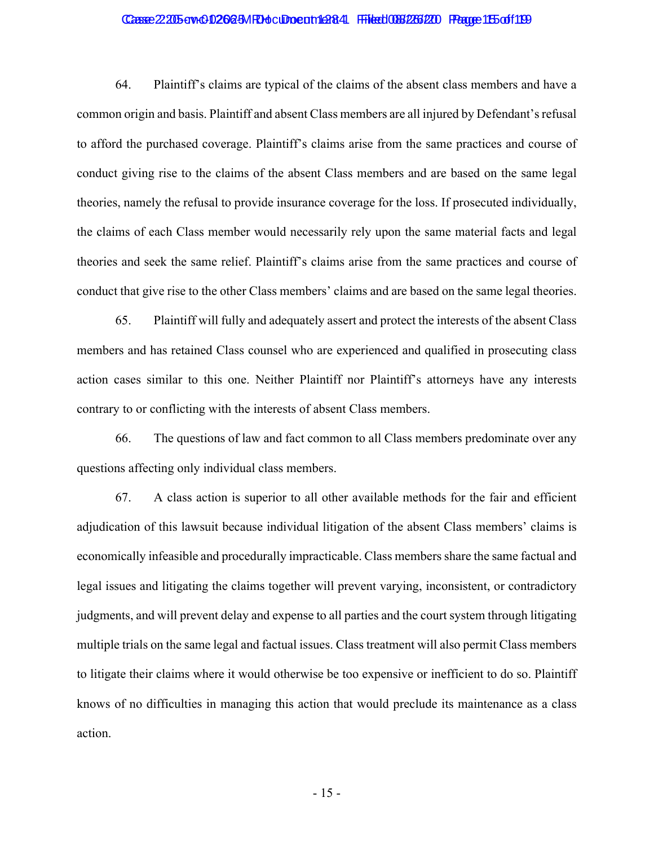### Casse 2205-cv-01262-5MRH culto cunt 1284 Filed 086/266/20 Page 15 of 119

64. Plaintiff's claims are typical of the claims of the absent class members and have a common origin and basis. Plaintiff and absent Class members are all injured by Defendant's refusal to afford the purchased coverage. Plaintiff's claims arise from the same practices and course of conduct giving rise to the claims of the absent Class members and are based on the same legal theories, namely the refusal to provide insurance coverage for the loss. If prosecuted individually, the claims of each Class member would necessarily rely upon the same material facts and legal theories and seek the same relief. Plaintiff's claims arise from the same practices and course of conduct that give rise to the other Class members' claims and are based on the same legal theories.

65. Plaintiff will fully and adequately assert and protect the interests of the absent Class members and has retained Class counsel who are experienced and qualified in prosecuting class action cases similar to this one. Neither Plaintiff nor Plaintiff's attorneys have any interests contrary to or conflicting with the interests of absent Class members.

66. The questions of law and fact common to all Class members predominate over any questions affecting only individual class members.

67. A class action is superior to all other available methods for the fair and efficient adjudication of this lawsuit because individual litigation of the absent Class members' claims is economically infeasible and procedurally impracticable. Class members share the same factual and legal issues and litigating the claims together will prevent varying, inconsistent, or contradictory judgments, and will prevent delay and expense to all parties and the court system through litigating multiple trials on the same legal and factual issues. Class treatment will also permit Class members to litigate their claims where it would otherwise be too expensive or inefficient to do so. Plaintiff knows of no difficulties in managing this action that would preclude its maintenance as a class action.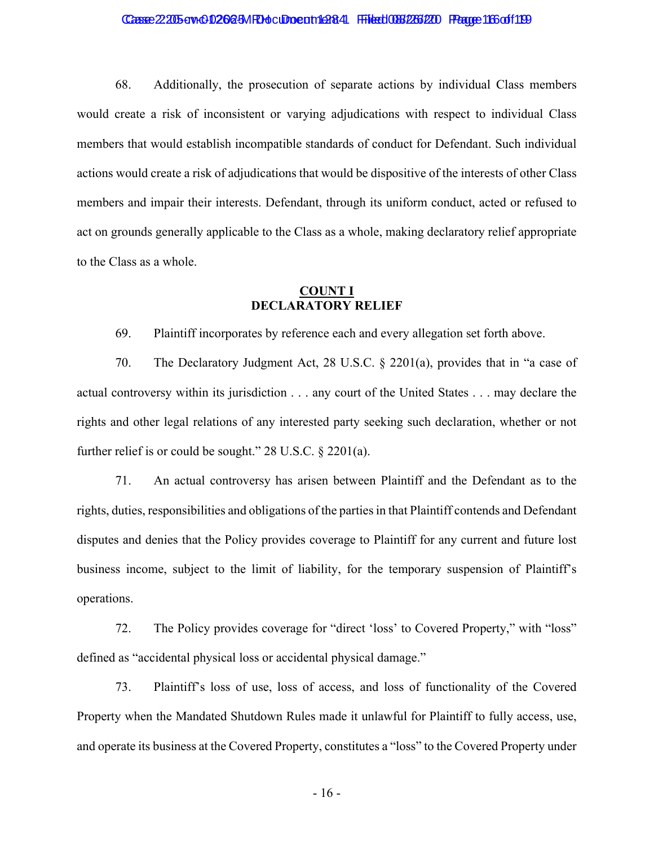### Casse 2205-cv-01262-5MRH culture th 1284 Filed 086/266/20 Page 166 of 119

68. Additionally, the prosecution of separate actions by individual Class members would create a risk of inconsistent or varying adjudications with respect to individual Class members that would establish incompatible standards of conduct for Defendant. Such individual actions would create a risk of adjudications that would be dispositive of the interests of other Class members and impair their interests. Defendant, through its uniform conduct, acted or refused to act on grounds generally applicable to the Class as a whole, making declaratory relief appropriate to the Class as a whole.

# **COUNT I DECLARATORY RELIEF**

69. Plaintiff incorporates by reference each and every allegation set forth above.

70. The Declaratory Judgment Act, 28 U.S.C. § 2201(a), provides that in "a case of actual controversy within its jurisdiction . . . any court of the United States . . . may declare the rights and other legal relations of any interested party seeking such declaration, whether or not further relief is or could be sought." 28 U.S.C. § 2201(a).

71. An actual controversy has arisen between Plaintiff and the Defendant as to the rights, duties, responsibilities and obligations of the parties in that Plaintiff contends and Defendant disputes and denies that the Policy provides coverage to Plaintiff for any current and future lost business income, subject to the limit of liability, for the temporary suspension of Plaintiff's operations.

72. The Policy provides coverage for "direct 'loss' to Covered Property," with "loss" defined as "accidental physical loss or accidental physical damage."

73. Plaintiff's loss of use, loss of access, and loss of functionality of the Covered Property when the Mandated Shutdown Rules made it unlawful for Plaintiff to fully access, use, and operate its business at the Covered Property, constitutes a "loss" to the Covered Property under

- 16 -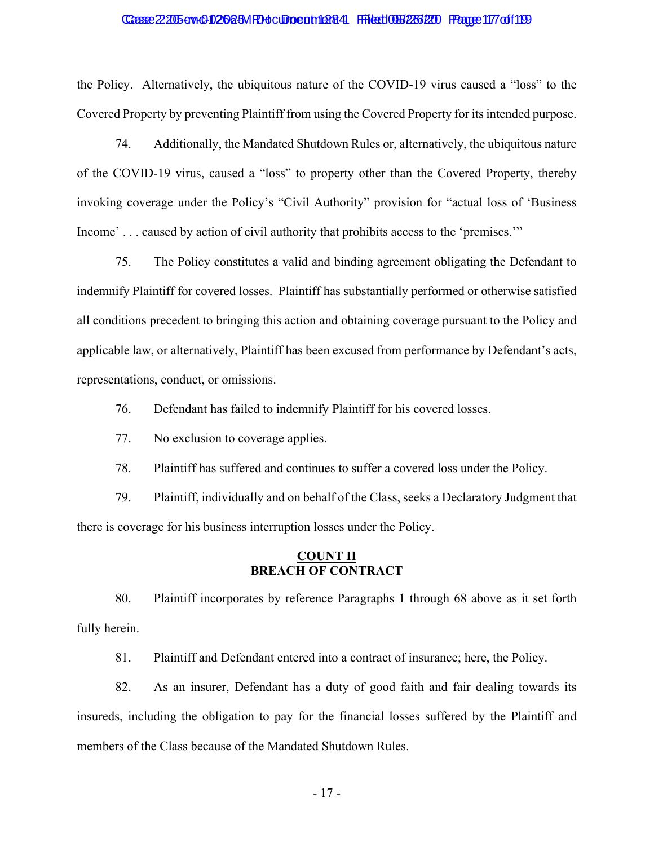### Casse 22:205-cry-01262-5MRH ocument 1 £284 Filed 086/266/20 Pagge 117 of 1199

the Policy. Alternatively, the ubiquitous nature of the COVID-19 virus caused a "loss" to the Covered Property by preventing Plaintiff from using the Covered Property for its intended purpose.

74. Additionally, the Mandated Shutdown Rules or, alternatively, the ubiquitous nature of the COVID-19 virus, caused a "loss" to property other than the Covered Property, thereby invoking coverage under the Policy's "Civil Authority" provision for "actual loss of 'Business Income' . . . caused by action of civil authority that prohibits access to the 'premises.'"

75. The Policy constitutes a valid and binding agreement obligating the Defendant to indemnify Plaintiff for covered losses. Plaintiff has substantially performed or otherwise satisfied all conditions precedent to bringing this action and obtaining coverage pursuant to the Policy and applicable law, or alternatively, Plaintiff has been excused from performance by Defendant's acts, representations, conduct, or omissions.

76. Defendant has failed to indemnify Plaintiff for his covered losses.

77. No exclusion to coverage applies.

78. Plaintiff has suffered and continues to suffer a covered loss under the Policy.

79. Plaintiff, individually and on behalf of the Class, seeks a Declaratory Judgment that there is coverage for his business interruption losses under the Policy.

## **COUNT II BREACH OF CONTRACT**

80. Plaintiff incorporates by reference Paragraphs 1 through 68 above as it set forth fully herein.

81. Plaintiff and Defendant entered into a contract of insurance; here, the Policy.

82. As an insurer, Defendant has a duty of good faith and fair dealing towards its insureds, including the obligation to pay for the financial losses suffered by the Plaintiff and members of the Class because of the Mandated Shutdown Rules.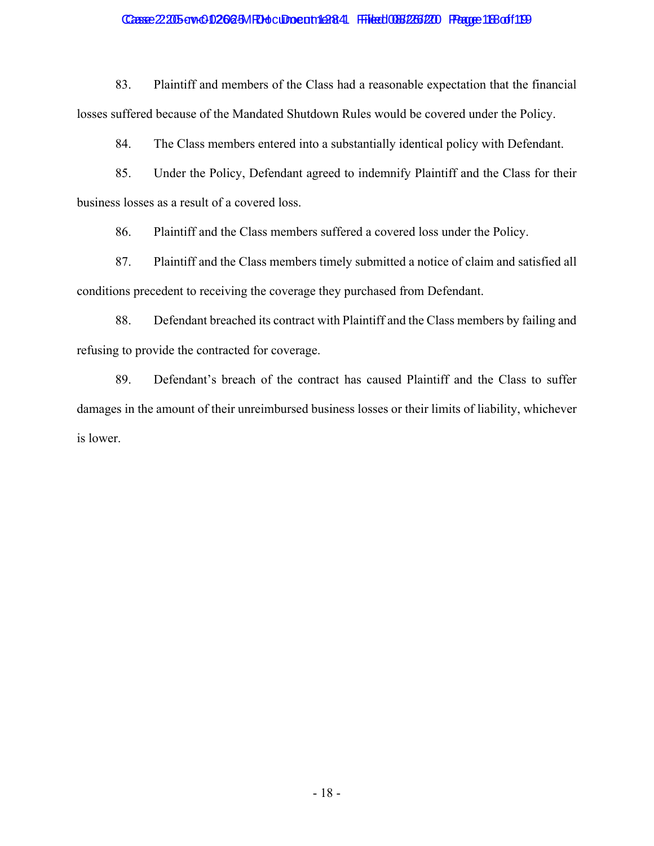## Case 2205-cv-01262-5MRH culture the 284 Filed 088/266/20 Page 1880f119

83. Plaintiff and members of the Class had a reasonable expectation that the financial losses suffered because of the Mandated Shutdown Rules would be covered under the Policy.

84. The Class members entered into a substantially identical policy with Defendant.

85. Under the Policy, Defendant agreed to indemnify Plaintiff and the Class for their business losses as a result of a covered loss.

86. Plaintiff and the Class members suffered a covered loss under the Policy.

87. Plaintiff and the Class members timely submitted a notice of claim and satisfied all conditions precedent to receiving the coverage they purchased from Defendant.

88. Defendant breached its contract with Plaintiff and the Class members by failing and refusing to provide the contracted for coverage.

89. Defendant's breach of the contract has caused Plaintiff and the Class to suffer damages in the amount of their unreimbursed business losses or their limits of liability, whichever is lower.